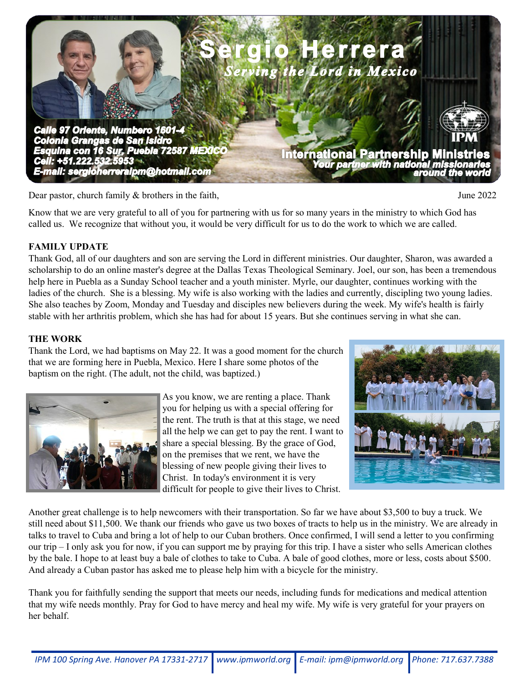

Dear pastor, church family & brothers in the faith, June 2022

Know that we are very grateful to all of you for partnering with us for so many years in the ministry to which God has called us. We recognize that without you, it would be very difficult for us to do the work to which we are called.

## **FAMILY UPDATE**

Thank God, all of our daughters and son are serving the Lord in different ministries. Our daughter, Sharon, was awarded a scholarship to do an online master's degree at the Dallas Texas Theological Seminary. Joel, our son, has been a tremendous help here in Puebla as a Sunday School teacher and a youth minister. Myrle, our daughter, continues working with the ladies of the church. She is a blessing. My wife is also working with the ladies and currently, discipling two young ladies. She also teaches by Zoom, Monday and Tuesday and disciples new believers during the week. My wife's health is fairly stable with her arthritis problem, which she has had for about 15 years. But she continues serving in what she can.

## **THE WORK**

Thank the Lord, we had baptisms on May 22. It was a good moment for the church that we are forming here in Puebla, Mexico. Here I share some photos of the baptism on the right. (The adult, not the child, was baptized.)



As you know, we are renting a place. Thank you for helping us with a special offering for the rent. The truth is that at this stage, we need all the help we can get to pay the rent. I want to share a special blessing. By the grace of God, on the premises that we rent, we have the blessing of new people giving their lives to Christ. In today's environment it is very difficult for people to give their lives to Christ.



Another great challenge is to help newcomers with their transportation. So far we have about \$3,500 to buy a truck. We still need about \$11,500. We thank our friends who gave us two boxes of tracts to help us in the ministry. We are already in talks to travel to Cuba and bring a lot of help to our Cuban brothers. Once confirmed, I will send a letter to you confirming our trip – I only ask you for now, if you can support me by praying for this trip. I have a sister who sells American clothes by the bale. I hope to at least buy a bale of clothes to take to Cuba. A bale of good clothes, more or less, costs about \$500. And already a Cuban pastor has asked me to please help him with a bicycle for the ministry.

Thank you for faithfully sending the support that meets our needs, including funds for medications and medical attention that my wife needs monthly. Pray for God to have mercy and heal my wife. My wife is very grateful for your prayers on her behalf.